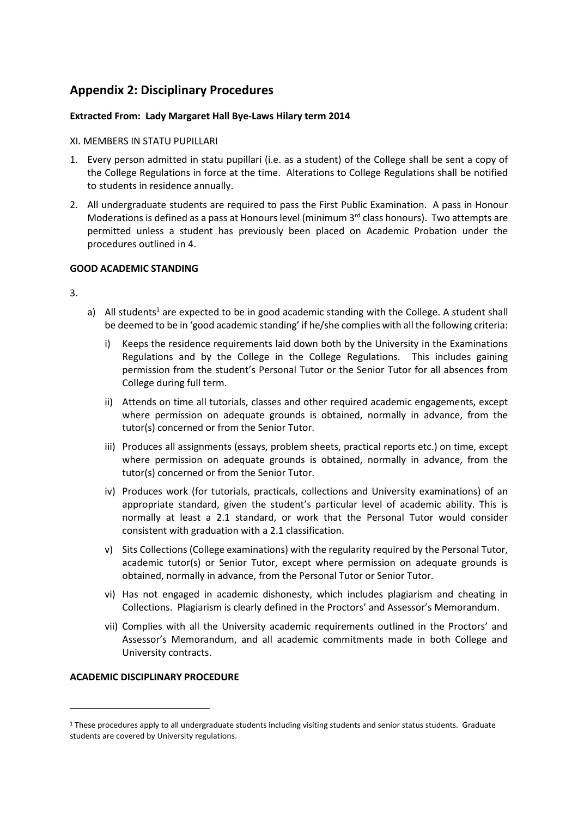# **Appendix 2: Disciplinary Procedures**

# **Extracted From: Lady Margaret Hall Bye-Laws Hilary term 2014**

## XI. MEMBERS IN STATU PUPILLARI

- 1. Every person admitted in statu pupillari (i.e. as a student) of the College shall be sent a copy of the College Regulations in force at the time. Alterations to College Regulations shall be notified to students in residence annually.
- 2. All undergraduate students are required to pass the First Public Examination. A pass in Honour Moderations is defined as a pass at Honours level (minimum  $3<sup>rd</sup>$  class honours). Two attempts are permitted unless a student has previously been placed on Academic Probation under the procedures outlined in 4.

## **GOOD ACADEMIC STANDING**

3.

- a) All students<sup>1</sup> are expected to be in good academic standing with the College. A student shall be deemed to be in 'good academic standing' if he/she complies with all the following criteria:
	- i) Keeps the residence requirements laid down both by the University in the Examinations Regulations and by the College in the College Regulations. This includes gaining permission from the student's Personal Tutor or the Senior Tutor for all absences from College during full term.
	- ii) Attends on time all tutorials, classes and other required academic engagements, except where permission on adequate grounds is obtained, normally in advance, from the tutor(s) concerned or from the Senior Tutor.
	- iii) Produces all assignments (essays, problem sheets, practical reports etc.) on time, except where permission on adequate grounds is obtained, normally in advance, from the tutor(s) concerned or from the Senior Tutor.
	- iv) Produces work (for tutorials, practicals, collections and University examinations) of an appropriate standard, given the student's particular level of academic ability. This is normally at least a 2.1 standard, or work that the Personal Tutor would consider consistent with graduation with a 2.1 classification.
	- v) Sits Collections (College examinations) with the regularity required by the Personal Tutor, academic tutor(s) or Senior Tutor, except where permission on adequate grounds is obtained, normally in advance, from the Personal Tutor or Senior Tutor.
	- vi) Has not engaged in academic dishonesty, which includes plagiarism and cheating in Collections. Plagiarism is clearly defined in the Proctors' and Assessor's Memorandum.
	- vii) Complies with all the University academic requirements outlined in the Proctors' and Assessor's Memorandum, and all academic commitments made in both College and University contracts.

# **ACADEMIC DISCIPLINARY PROCEDURE**

<sup>&</sup>lt;sup>1</sup> These procedures apply to all undergraduate students including visiting students and senior status students. Graduate students are covered by University regulations.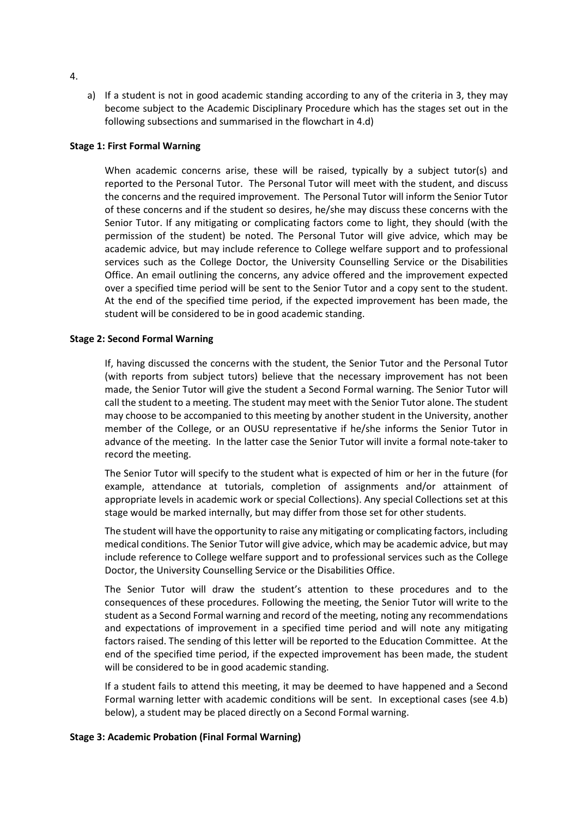a) If a student is not in good academic standing according to any of the criteria in 3, they may become subject to the Academic Disciplinary Procedure which has the stages set out in the following subsections and summarised in the flowchart in 4.d)

#### **Stage 1: First Formal Warning**

When academic concerns arise, these will be raised, typically by a subject tutor(s) and reported to the Personal Tutor. The Personal Tutor will meet with the student, and discuss the concerns and the required improvement. The Personal Tutor will inform the Senior Tutor of these concerns and if the student so desires, he/she may discuss these concerns with the Senior Tutor. If any mitigating or complicating factors come to light, they should (with the permission of the student) be noted. The Personal Tutor will give advice, which may be academic advice, but may include reference to College welfare support and to professional services such as the College Doctor, the University Counselling Service or the Disabilities Office. An email outlining the concerns, any advice offered and the improvement expected over a specified time period will be sent to the Senior Tutor and a copy sent to the student. At the end of the specified time period, if the expected improvement has been made, the student will be considered to be in good academic standing.

#### **Stage 2: Second Formal Warning**

If, having discussed the concerns with the student, the Senior Tutor and the Personal Tutor (with reports from subject tutors) believe that the necessary improvement has not been made, the Senior Tutor will give the student a Second Formal warning. The Senior Tutor will call the student to a meeting. The student may meet with the Senior Tutor alone. The student may choose to be accompanied to this meeting by another student in the University, another member of the College, or an OUSU representative if he/she informs the Senior Tutor in advance of the meeting. In the latter case the Senior Tutor will invite a formal note-taker to record the meeting.

The Senior Tutor will specify to the student what is expected of him or her in the future (for example, attendance at tutorials, completion of assignments and/or attainment of appropriate levels in academic work or special Collections). Any special Collections set at this stage would be marked internally, but may differ from those set for other students.

The student will have the opportunity to raise any mitigating or complicating factors, including medical conditions. The Senior Tutor will give advice, which may be academic advice, but may include reference to College welfare support and to professional services such as the College Doctor, the University Counselling Service or the Disabilities Office.

The Senior Tutor will draw the student's attention to these procedures and to the consequences of these procedures. Following the meeting, the Senior Tutor will write to the student as a Second Formal warning and record of the meeting, noting any recommendations and expectations of improvement in a specified time period and will note any mitigating factors raised. The sending of this letter will be reported to the Education Committee. At the end of the specified time period, if the expected improvement has been made, the student will be considered to be in good academic standing.

If a student fails to attend this meeting, it may be deemed to have happened and a Second Formal warning letter with academic conditions will be sent. In exceptional cases (see 4.b) below), a student may be placed directly on a Second Formal warning.

#### **Stage 3: Academic Probation (Final Formal Warning)**

4.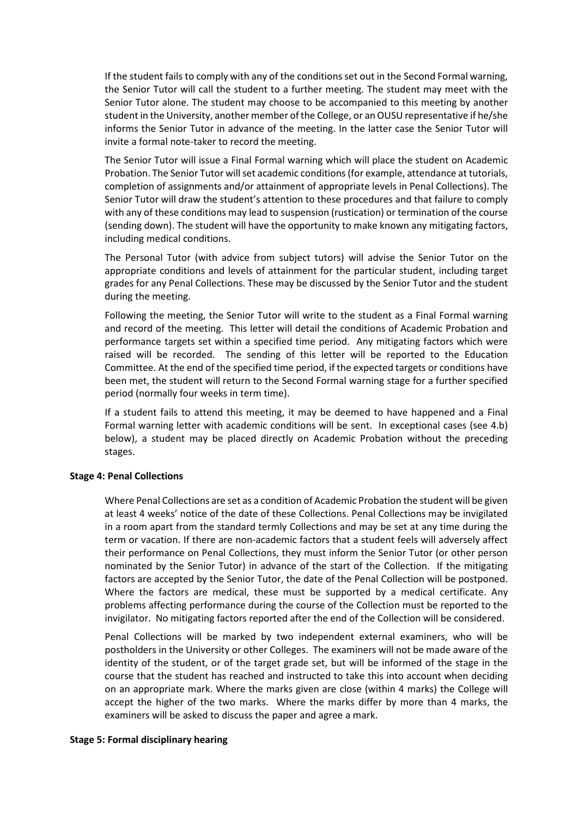If the student fails to comply with any of the conditions set out in the Second Formal warning, the Senior Tutor will call the student to a further meeting. The student may meet with the Senior Tutor alone. The student may choose to be accompanied to this meeting by another student in the University, another member of the College, or an OUSU representative if he/she informs the Senior Tutor in advance of the meeting. In the latter case the Senior Tutor will invite a formal note-taker to record the meeting.

The Senior Tutor will issue a Final Formal warning which will place the student on Academic Probation. The Senior Tutor will set academic conditions (for example, attendance at tutorials, completion of assignments and/or attainment of appropriate levels in Penal Collections). The Senior Tutor will draw the student's attention to these procedures and that failure to comply with any of these conditions may lead to suspension (rustication) or termination of the course (sending down). The student will have the opportunity to make known any mitigating factors, including medical conditions.

The Personal Tutor (with advice from subject tutors) will advise the Senior Tutor on the appropriate conditions and levels of attainment for the particular student, including target grades for any Penal Collections. These may be discussed by the Senior Tutor and the student during the meeting.

Following the meeting, the Senior Tutor will write to the student as a Final Formal warning and record of the meeting. This letter will detail the conditions of Academic Probation and performance targets set within a specified time period. Any mitigating factors which were raised will be recorded. The sending of this letter will be reported to the Education Committee. At the end of the specified time period, if the expected targets or conditions have been met, the student will return to the Second Formal warning stage for a further specified period (normally four weeks in term time).

If a student fails to attend this meeting, it may be deemed to have happened and a Final Formal warning letter with academic conditions will be sent. In exceptional cases (see 4.b) below), a student may be placed directly on Academic Probation without the preceding stages.

## **Stage 4: Penal Collections**

Where Penal Collections are set as a condition of Academic Probation the student will be given at least 4 weeks' notice of the date of these Collections. Penal Collections may be invigilated in a room apart from the standard termly Collections and may be set at any time during the term or vacation. If there are non-academic factors that a student feels will adversely affect their performance on Penal Collections, they must inform the Senior Tutor (or other person nominated by the Senior Tutor) in advance of the start of the Collection. If the mitigating factors are accepted by the Senior Tutor, the date of the Penal Collection will be postponed. Where the factors are medical, these must be supported by a medical certificate. Any problems affecting performance during the course of the Collection must be reported to the invigilator. No mitigating factors reported after the end of the Collection will be considered.

Penal Collections will be marked by two independent external examiners, who will be postholders in the University or other Colleges. The examiners will not be made aware of the identity of the student, or of the target grade set, but will be informed of the stage in the course that the student has reached and instructed to take this into account when deciding on an appropriate mark. Where the marks given are close (within 4 marks) the College will accept the higher of the two marks. Where the marks differ by more than 4 marks, the examiners will be asked to discuss the paper and agree a mark.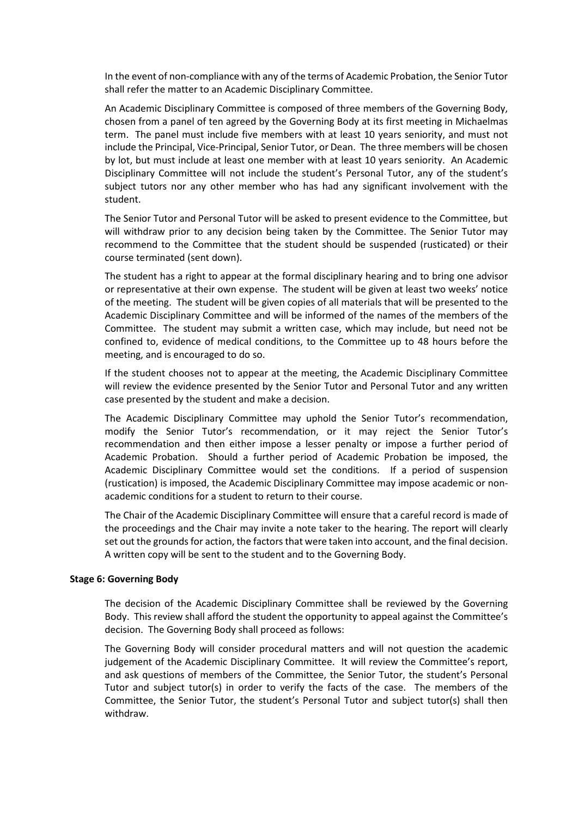In the event of non-compliance with any of the terms of Academic Probation, the Senior Tutor shall refer the matter to an Academic Disciplinary Committee.

An Academic Disciplinary Committee is composed of three members of the Governing Body, chosen from a panel of ten agreed by the Governing Body at its first meeting in Michaelmas term. The panel must include five members with at least 10 years seniority, and must not include the Principal, Vice-Principal, Senior Tutor, or Dean. The three members will be chosen by lot, but must include at least one member with at least 10 years seniority. An Academic Disciplinary Committee will not include the student's Personal Tutor, any of the student's subject tutors nor any other member who has had any significant involvement with the student.

The Senior Tutor and Personal Tutor will be asked to present evidence to the Committee, but will withdraw prior to any decision being taken by the Committee. The Senior Tutor may recommend to the Committee that the student should be suspended (rusticated) or their course terminated (sent down).

The student has a right to appear at the formal disciplinary hearing and to bring one advisor or representative at their own expense. The student will be given at least two weeks' notice of the meeting. The student will be given copies of all materials that will be presented to the Academic Disciplinary Committee and will be informed of the names of the members of the Committee. The student may submit a written case, which may include, but need not be confined to, evidence of medical conditions, to the Committee up to 48 hours before the meeting, and is encouraged to do so.

If the student chooses not to appear at the meeting, the Academic Disciplinary Committee will review the evidence presented by the Senior Tutor and Personal Tutor and any written case presented by the student and make a decision.

The Academic Disciplinary Committee may uphold the Senior Tutor's recommendation, modify the Senior Tutor's recommendation, or it may reject the Senior Tutor's recommendation and then either impose a lesser penalty or impose a further period of Academic Probation. Should a further period of Academic Probation be imposed, the Academic Disciplinary Committee would set the conditions. If a period of suspension (rustication) is imposed, the Academic Disciplinary Committee may impose academic or nonacademic conditions for a student to return to their course.

The Chair of the Academic Disciplinary Committee will ensure that a careful record is made of the proceedings and the Chair may invite a note taker to the hearing. The report will clearly set out the grounds for action, the factors that were taken into account, and the final decision. A written copy will be sent to the student and to the Governing Body.

#### **Stage 6: Governing Body**

The decision of the Academic Disciplinary Committee shall be reviewed by the Governing Body. This review shall afford the student the opportunity to appeal against the Committee's decision. The Governing Body shall proceed as follows:

The Governing Body will consider procedural matters and will not question the academic judgement of the Academic Disciplinary Committee. It will review the Committee's report, and ask questions of members of the Committee, the Senior Tutor, the student's Personal Tutor and subject tutor(s) in order to verify the facts of the case. The members of the Committee, the Senior Tutor, the student's Personal Tutor and subject tutor(s) shall then withdraw.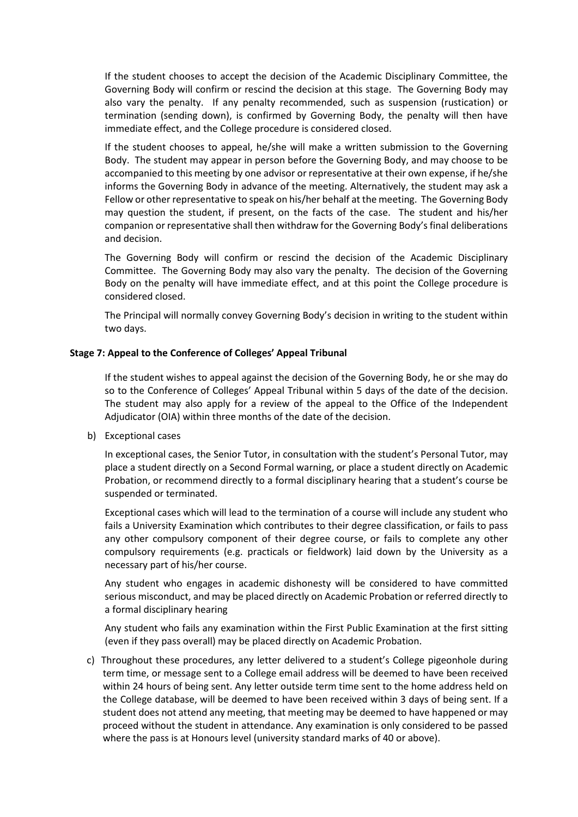If the student chooses to accept the decision of the Academic Disciplinary Committee, the Governing Body will confirm or rescind the decision at this stage. The Governing Body may also vary the penalty. If any penalty recommended, such as suspension (rustication) or termination (sending down), is confirmed by Governing Body, the penalty will then have immediate effect, and the College procedure is considered closed.

If the student chooses to appeal, he/she will make a written submission to the Governing Body. The student may appear in person before the Governing Body, and may choose to be accompanied to this meeting by one advisor or representative at their own expense, if he/she informs the Governing Body in advance of the meeting. Alternatively, the student may ask a Fellow or other representative to speak on his/her behalf at the meeting. The Governing Body may question the student, if present, on the facts of the case. The student and his/her companion or representative shall then withdraw for the Governing Body's final deliberations and decision.

The Governing Body will confirm or rescind the decision of the Academic Disciplinary Committee. The Governing Body may also vary the penalty. The decision of the Governing Body on the penalty will have immediate effect, and at this point the College procedure is considered closed.

The Principal will normally convey Governing Body's decision in writing to the student within two days.

#### **Stage 7: Appeal to the Conference of Colleges' Appeal Tribunal**

If the student wishes to appeal against the decision of the Governing Body, he or she may do so to the Conference of Colleges' Appeal Tribunal within 5 days of the date of the decision. The student may also apply for a review of the appeal to the Office of the Independent Adjudicator (OIA) within three months of the date of the decision.

b) Exceptional cases

In exceptional cases, the Senior Tutor, in consultation with the student's Personal Tutor, may place a student directly on a Second Formal warning, or place a student directly on Academic Probation, or recommend directly to a formal disciplinary hearing that a student's course be suspended or terminated.

Exceptional cases which will lead to the termination of a course will include any student who fails a University Examination which contributes to their degree classification, or fails to pass any other compulsory component of their degree course, or fails to complete any other compulsory requirements (e.g. practicals or fieldwork) laid down by the University as a necessary part of his/her course.

Any student who engages in academic dishonesty will be considered to have committed serious misconduct, and may be placed directly on Academic Probation or referred directly to a formal disciplinary hearing

Any student who fails any examination within the First Public Examination at the first sitting (even if they pass overall) may be placed directly on Academic Probation.

 c) Throughout these procedures, any letter delivered to a student's College pigeonhole during term time, or message sent to a College email address will be deemed to have been received within 24 hours of being sent. Any letter outside term time sent to the home address held on the College database, will be deemed to have been received within 3 days of being sent. If a student does not attend any meeting, that meeting may be deemed to have happened or may proceed without the student in attendance. Any examination is only considered to be passed where the pass is at Honours level (university standard marks of 40 or above).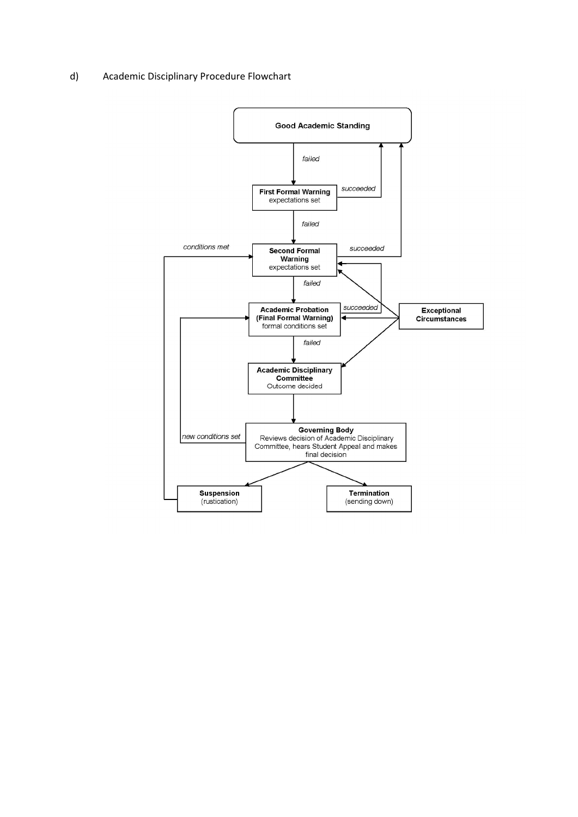#### d) Academic Disciplinary Procedure Flowchart

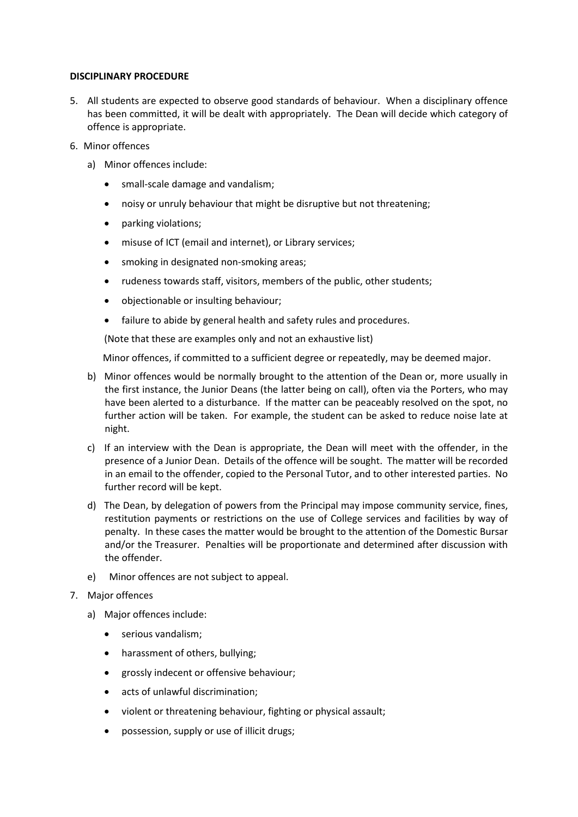#### **DISCIPLINARY PROCEDURE**

- 5. All students are expected to observe good standards of behaviour. When a disciplinary offence has been committed, it will be dealt with appropriately. The Dean will decide which category of offence is appropriate.
- 6. Minor offences
	- a) Minor offences include:
		- small-scale damage and vandalism;
		- noisy or unruly behaviour that might be disruptive but not threatening;
		- parking violations;
		- misuse of ICT (email and internet), or Library services;
		- smoking in designated non-smoking areas;
		- rudeness towards staff, visitors, members of the public, other students;
		- objectionable or insulting behaviour;
		- failure to abide by general health and safety rules and procedures.

(Note that these are examples only and not an exhaustive list)

Minor offences, if committed to a sufficient degree or repeatedly, may be deemed major.

- b) Minor offences would be normally brought to the attention of the Dean or, more usually in the first instance, the Junior Deans (the latter being on call), often via the Porters, who may have been alerted to a disturbance. If the matter can be peaceably resolved on the spot, no further action will be taken. For example, the student can be asked to reduce noise late at night.
- c) If an interview with the Dean is appropriate, the Dean will meet with the offender, in the presence of a Junior Dean. Details of the offence will be sought. The matter will be recorded in an email to the offender, copied to the Personal Tutor, and to other interested parties. No further record will be kept.
- d) The Dean, by delegation of powers from the Principal may impose community service, fines, restitution payments or restrictions on the use of College services and facilities by way of penalty. In these cases the matter would be brought to the attention of the Domestic Bursar and/or the Treasurer. Penalties will be proportionate and determined after discussion with the offender.
- e) Minor offences are not subject to appeal.
- 7. Major offences
	- a) Major offences include:
		- serious vandalism;
		- harassment of others, bullying;
		- grossly indecent or offensive behaviour;
		- acts of unlawful discrimination;
		- violent or threatening behaviour, fighting or physical assault;
		- possession, supply or use of illicit drugs;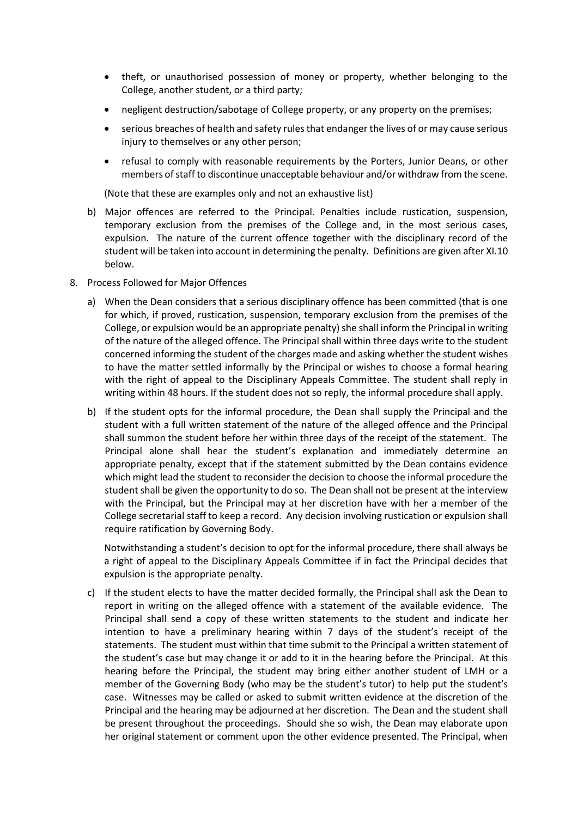- theft, or unauthorised possession of money or property, whether belonging to the College, another student, or a third party;
- negligent destruction/sabotage of College property, or any property on the premises;
- serious breaches of health and safety rules that endanger the lives of or may cause serious injury to themselves or any other person;
- refusal to comply with reasonable requirements by the Porters, Junior Deans, or other members of staff to discontinue unacceptable behaviour and/or withdraw from the scene.

(Note that these are examples only and not an exhaustive list)

- b) Major offences are referred to the Principal. Penalties include rustication, suspension, temporary exclusion from the premises of the College and, in the most serious cases, expulsion. The nature of the current offence together with the disciplinary record of the student will be taken into account in determining the penalty. Definitions are given after XI.10 below.
- 8. Process Followed for Major Offences
	- a) When the Dean considers that a serious disciplinary offence has been committed (that is one for which, if proved, rustication, suspension, temporary exclusion from the premises of the College, or expulsion would be an appropriate penalty) she shall inform the Principal in writing of the nature of the alleged offence. The Principal shall within three days write to the student concerned informing the student of the charges made and asking whether the student wishes to have the matter settled informally by the Principal or wishes to choose a formal hearing with the right of appeal to the Disciplinary Appeals Committee. The student shall reply in writing within 48 hours. If the student does not so reply, the informal procedure shall apply.
	- b) If the student opts for the informal procedure, the Dean shall supply the Principal and the student with a full written statement of the nature of the alleged offence and the Principal shall summon the student before her within three days of the receipt of the statement. The Principal alone shall hear the student's explanation and immediately determine an appropriate penalty, except that if the statement submitted by the Dean contains evidence which might lead the student to reconsider the decision to choose the informal procedure the student shall be given the opportunity to do so. The Dean shall not be present at the interview with the Principal, but the Principal may at her discretion have with her a member of the College secretarial staff to keep a record. Any decision involving rustication or expulsion shall require ratification by Governing Body.

Notwithstanding a student's decision to opt for the informal procedure, there shall always be a right of appeal to the Disciplinary Appeals Committee if in fact the Principal decides that expulsion is the appropriate penalty.

c) If the student elects to have the matter decided formally, the Principal shall ask the Dean to report in writing on the alleged offence with a statement of the available evidence. The Principal shall send a copy of these written statements to the student and indicate her intention to have a preliminary hearing within 7 days of the student's receipt of the statements. The student must within that time submit to the Principal a written statement of the student's case but may change it or add to it in the hearing before the Principal. At this hearing before the Principal, the student may bring either another student of LMH or a member of the Governing Body (who may be the student's tutor) to help put the student's case. Witnesses may be called or asked to submit written evidence at the discretion of the Principal and the hearing may be adjourned at her discretion. The Dean and the student shall be present throughout the proceedings. Should she so wish, the Dean may elaborate upon her original statement or comment upon the other evidence presented. The Principal, when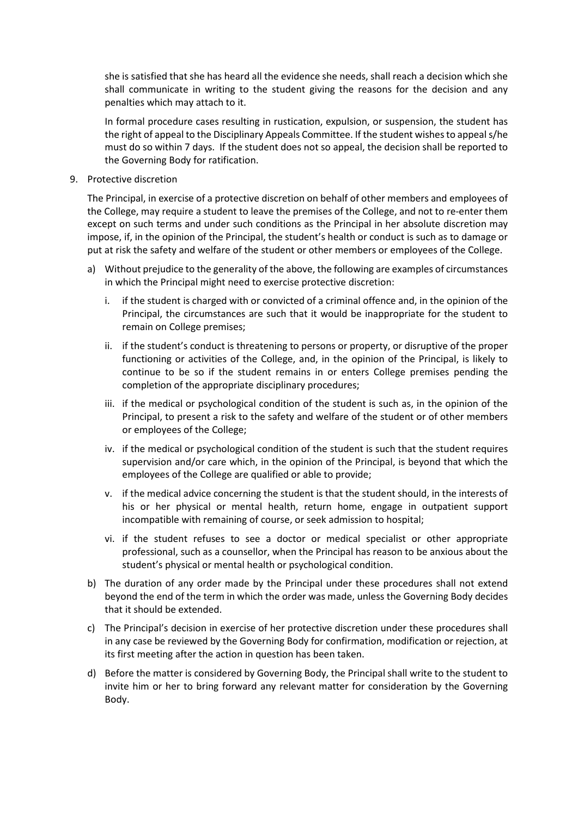she is satisfied that she has heard all the evidence she needs, shall reach a decision which she shall communicate in writing to the student giving the reasons for the decision and any penalties which may attach to it.

In formal procedure cases resulting in rustication, expulsion, or suspension, the student has the right of appeal to the Disciplinary Appeals Committee. If the student wishes to appeal s/he must do so within 7 days. If the student does not so appeal, the decision shall be reported to the Governing Body for ratification.

#### 9. Protective discretion

The Principal, in exercise of a protective discretion on behalf of other members and employees of the College, may require a student to leave the premises of the College, and not to re-enter them except on such terms and under such conditions as the Principal in her absolute discretion may impose, if, in the opinion of the Principal, the student's health or conduct is such as to damage or put at risk the safety and welfare of the student or other members or employees of the College.

- a) Without prejudice to the generality of the above, the following are examples of circumstances in which the Principal might need to exercise protective discretion:
	- i. if the student is charged with or convicted of a criminal offence and, in the opinion of the Principal, the circumstances are such that it would be inappropriate for the student to remain on College premises;
	- ii. if the student's conduct is threatening to persons or property, or disruptive of the proper functioning or activities of the College, and, in the opinion of the Principal, is likely to continue to be so if the student remains in or enters College premises pending the completion of the appropriate disciplinary procedures;
	- iii. if the medical or psychological condition of the student is such as, in the opinion of the Principal, to present a risk to the safety and welfare of the student or of other members or employees of the College;
	- iv. if the medical or psychological condition of the student is such that the student requires supervision and/or care which, in the opinion of the Principal, is beyond that which the employees of the College are qualified or able to provide;
	- v. if the medical advice concerning the student is that the student should, in the interests of his or her physical or mental health, return home, engage in outpatient support incompatible with remaining of course, or seek admission to hospital;
	- vi. if the student refuses to see a doctor or medical specialist or other appropriate professional, such as a counsellor, when the Principal has reason to be anxious about the student's physical or mental health or psychological condition.
- b) The duration of any order made by the Principal under these procedures shall not extend beyond the end of the term in which the order was made, unless the Governing Body decides that it should be extended.
- c) The Principal's decision in exercise of her protective discretion under these procedures shall in any case be reviewed by the Governing Body for confirmation, modification or rejection, at its first meeting after the action in question has been taken.
- d) Before the matter is considered by Governing Body, the Principal shall write to the student to invite him or her to bring forward any relevant matter for consideration by the Governing Body.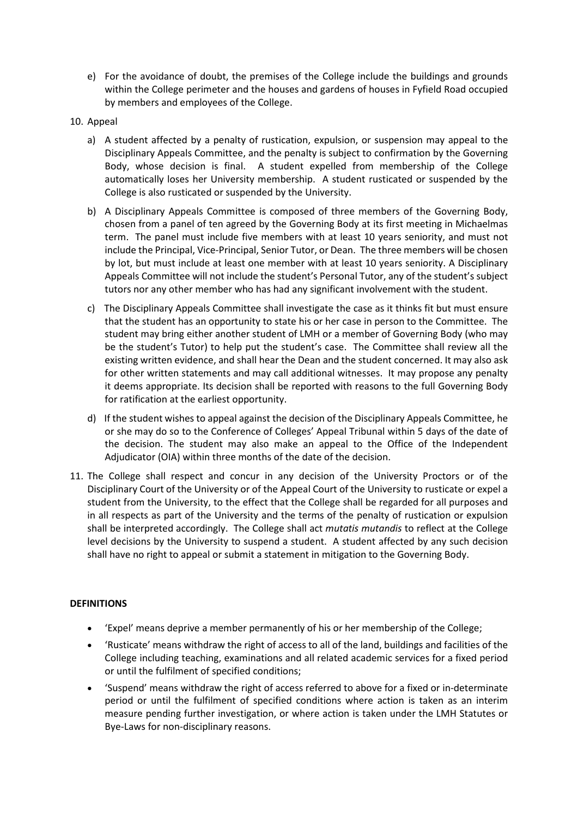e) For the avoidance of doubt, the premises of the College include the buildings and grounds within the College perimeter and the houses and gardens of houses in Fyfield Road occupied by members and employees of the College.

# 10. Appeal

- a) A student affected by a penalty of rustication, expulsion, or suspension may appeal to the Disciplinary Appeals Committee, and the penalty is subject to confirmation by the Governing Body, whose decision is final. A student expelled from membership of the College automatically loses her University membership. A student rusticated or suspended by the College is also rusticated or suspended by the University.
- b) A Disciplinary Appeals Committee is composed of three members of the Governing Body, chosen from a panel of ten agreed by the Governing Body at its first meeting in Michaelmas term. The panel must include five members with at least 10 years seniority, and must not include the Principal, Vice-Principal, Senior Tutor, or Dean. The three members will be chosen by lot, but must include at least one member with at least 10 years seniority. A Disciplinary Appeals Committee will not include the student's Personal Tutor, any of the student's subject tutors nor any other member who has had any significant involvement with the student.
- c) The Disciplinary Appeals Committee shall investigate the case as it thinks fit but must ensure that the student has an opportunity to state his or her case in person to the Committee. The student may bring either another student of LMH or a member of Governing Body (who may be the student's Tutor) to help put the student's case. The Committee shall review all the existing written evidence, and shall hear the Dean and the student concerned. It may also ask for other written statements and may call additional witnesses. It may propose any penalty it deems appropriate. Its decision shall be reported with reasons to the full Governing Body for ratification at the earliest opportunity.
- d) If the student wishes to appeal against the decision of the Disciplinary Appeals Committee, he or she may do so to the Conference of Colleges' Appeal Tribunal within 5 days of the date of the decision. The student may also make an appeal to the Office of the Independent Adjudicator (OIA) within three months of the date of the decision.
- 11. The College shall respect and concur in any decision of the University Proctors or of the Disciplinary Court of the University or of the Appeal Court of the University to rusticate or expel a student from the University, to the effect that the College shall be regarded for all purposes and in all respects as part of the University and the terms of the penalty of rustication or expulsion shall be interpreted accordingly. The College shall act *mutatis mutandis* to reflect at the College level decisions by the University to suspend a student. A student affected by any such decision shall have no right to appeal or submit a statement in mitigation to the Governing Body.

## **DEFINITIONS**

- 'Expel' means deprive a member permanently of his or her membership of the College;
- 'Rusticate' means withdraw the right of access to all of the land, buildings and facilities of the College including teaching, examinations and all related academic services for a fixed period or until the fulfilment of specified conditions;
- 'Suspend' means withdraw the right of access referred to above for a fixed or in-determinate period or until the fulfilment of specified conditions where action is taken as an interim measure pending further investigation, or where action is taken under the LMH Statutes or Bye-Laws for non-disciplinary reasons.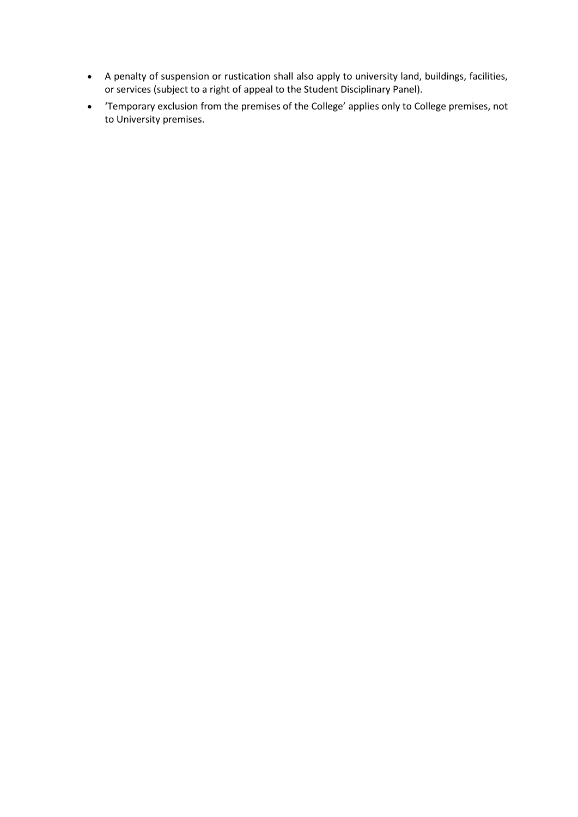- A penalty of suspension or rustication shall also apply to university land, buildings, facilities, or services (subject to a right of appeal to the Student Disciplinary Panel).
- 'Temporary exclusion from the premises of the College' applies only to College premises, not to University premises.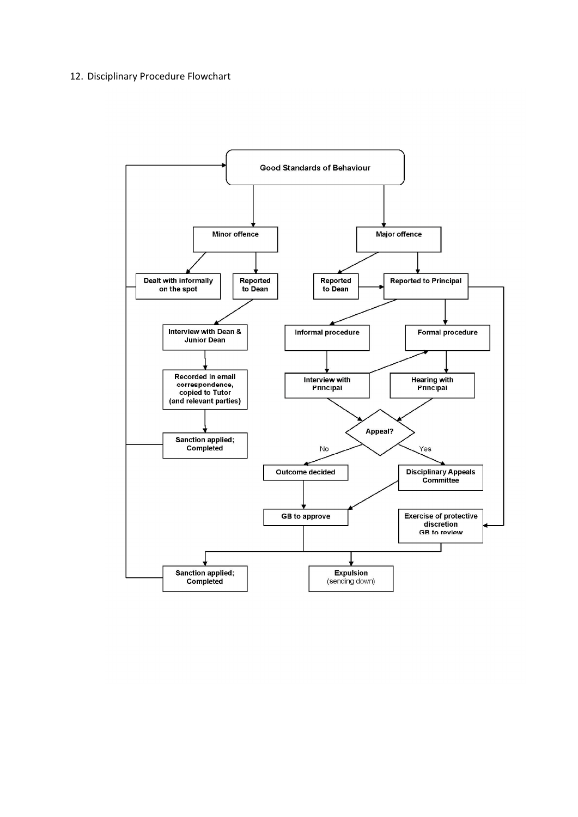#### 12. Disciplinary Procedure Flowchart

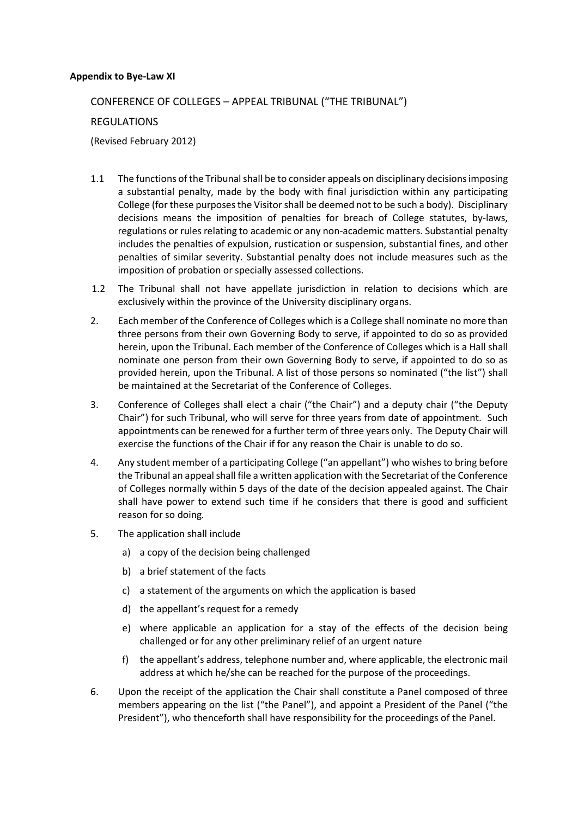#### **Appendix to Bye-Law XI**

# CONFERENCE OF COLLEGES – APPEAL TRIBUNAL ("THE TRIBUNAL")

## REGULATIONS

(Revised February 2012)

- 1.1 The functions of the Tribunal shall be to consider appeals on disciplinary decisions imposing a substantial penalty, made by the body with final jurisdiction within any participating College (for these purposes the Visitor shall be deemed not to be such a body). Disciplinary decisions means the imposition of penalties for breach of College statutes, by-laws, regulations or rules relating to academic or any non-academic matters. Substantial penalty includes the penalties of expulsion, rustication or suspension, substantial fines, and other penalties of similar severity. Substantial penalty does not include measures such as the imposition of probation or specially assessed collections.
- 1.2 The Tribunal shall not have appellate jurisdiction in relation to decisions which are exclusively within the province of the University disciplinary organs.
- 2. Each member of the Conference of Colleges which is a College shall nominate no more than three persons from their own Governing Body to serve, if appointed to do so as provided herein, upon the Tribunal. Each member of the Conference of Colleges which is a Hall shall nominate one person from their own Governing Body to serve, if appointed to do so as provided herein, upon the Tribunal. A list of those persons so nominated ("the list") shall be maintained at the Secretariat of the Conference of Colleges.
- 3. Conference of Colleges shall elect a chair ("the Chair") and a deputy chair ("the Deputy Chair") for such Tribunal, who will serve for three years from date of appointment. Such appointments can be renewed for a further term of three years only. The Deputy Chair will exercise the functions of the Chair if for any reason the Chair is unable to do so.
- 4. Any student member of a participating College ("an appellant") who wishes to bring before the Tribunal an appeal shall file a written application with the Secretariat of the Conference of Colleges normally within 5 days of the date of the decision appealed against. The Chair shall have power to extend such time if he considers that there is good and sufficient reason for so doing*.*
- 5. The application shall include
	- a) a copy of the decision being challenged
	- b) a brief statement of the facts
	- c) a statement of the arguments on which the application is based
	- d) the appellant's request for a remedy
	- e) where applicable an application for a stay of the effects of the decision being challenged or for any other preliminary relief of an urgent nature
	- f) the appellant's address, telephone number and, where applicable, the electronic mail address at which he/she can be reached for the purpose of the proceedings.
- 6. Upon the receipt of the application the Chair shall constitute a Panel composed of three members appearing on the list ("the Panel"), and appoint a President of the Panel ("the President"), who thenceforth shall have responsibility for the proceedings of the Panel.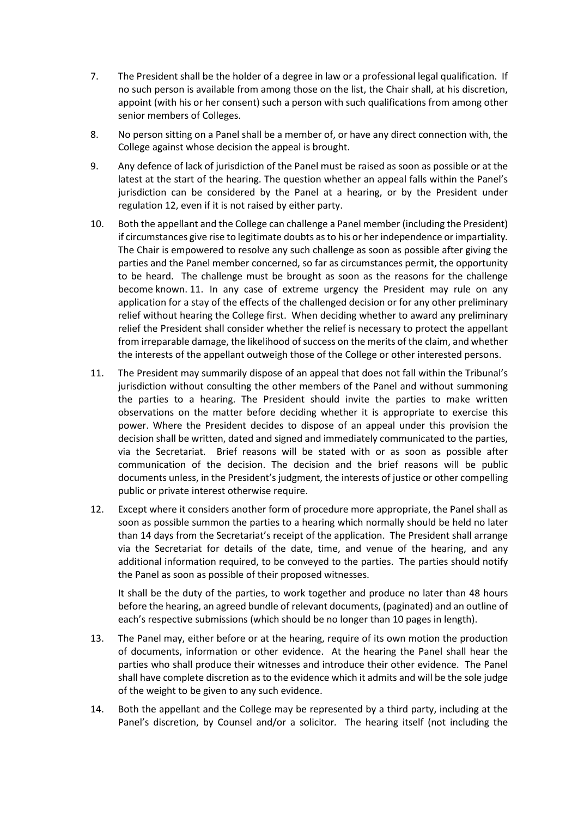- 7. The President shall be the holder of a degree in law or a professional legal qualification. If no such person is available from among those on the list, the Chair shall, at his discretion, appoint (with his or her consent) such a person with such qualifications from among other senior members of Colleges.
- 8. No person sitting on a Panel shall be a member of, or have any direct connection with, the College against whose decision the appeal is brought.
- 9. Any defence of lack of jurisdiction of the Panel must be raised as soon as possible or at the latest at the start of the hearing. The question whether an appeal falls within the Panel's jurisdiction can be considered by the Panel at a hearing, or by the President under regulation 12, even if it is not raised by either party.
- 10. Both the appellant and the College can challenge a Panel member (including the President) if circumstances give rise to legitimate doubts as to his or her independence or impartiality*.* The Chair is empowered to resolve any such challenge as soon as possible after giving the parties and the Panel member concerned, so far as circumstances permit, the opportunity to be heard. The challenge must be brought as soon as the reasons for the challenge become known. 11. In any case of extreme urgency the President may rule on any application for a stay of the effects of the challenged decision or for any other preliminary relief without hearing the College first. When deciding whether to award any preliminary relief the President shall consider whether the relief is necessary to protect the appellant from irreparable damage, the likelihood of success on the merits of the claim, and whether the interests of the appellant outweigh those of the College or other interested persons.
- 11. The President may summarily dispose of an appeal that does not fall within the Tribunal's jurisdiction without consulting the other members of the Panel and without summoning the parties to a hearing. The President should invite the parties to make written observations on the matter before deciding whether it is appropriate to exercise this power. Where the President decides to dispose of an appeal under this provision the decision shall be written, dated and signed and immediately communicated to the parties, via the Secretariat. Brief reasons will be stated with or as soon as possible after communication of the decision. The decision and the brief reasons will be public documents unless, in the President's judgment, the interests of justice or other compelling public or private interest otherwise require.
- 12. Except where it considers another form of procedure more appropriate, the Panel shall as soon as possible summon the parties to a hearing which normally should be held no later than 14 days from the Secretariat's receipt of the application. The President shall arrange via the Secretariat for details of the date, time, and venue of the hearing, and any additional information required, to be conveyed to the parties. The parties should notify the Panel as soon as possible of their proposed witnesses.

It shall be the duty of the parties, to work together and produce no later than 48 hours before the hearing, an agreed bundle of relevant documents, (paginated) and an outline of each's respective submissions (which should be no longer than 10 pages in length).

- 13. The Panel may, either before or at the hearing, require of its own motion the production of documents, information or other evidence. At the hearing the Panel shall hear the parties who shall produce their witnesses and introduce their other evidence. The Panel shall have complete discretion as to the evidence which it admits and will be the sole judge of the weight to be given to any such evidence.
- 14. Both the appellant and the College may be represented by a third party, including at the Panel's discretion, by Counsel and/or a solicitor*.* The hearing itself (not including the